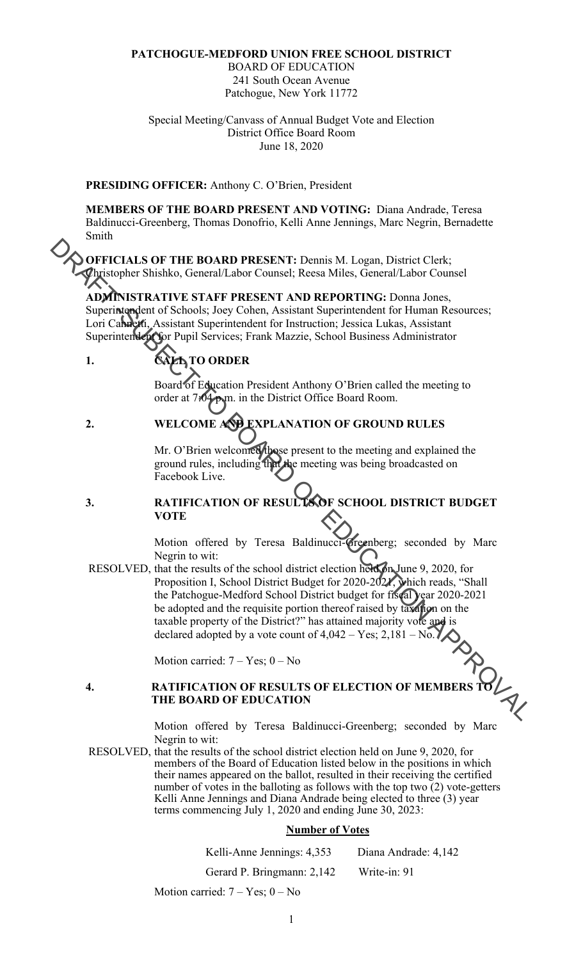#### **PATCHOGUE-MEDFORD UNION FREE SCHOOL DISTRICT**

BOARD OF EDUCATION 241 South Ocean Avenue Patchogue, New York 11772

Special Meeting/Canvass of Annual Budget Vote and Election District Office Board Room June 18, 2020

#### **PRESIDING OFFICER:** Anthony C. O'Brien, President

**MEMBERS OF THE BOARD PRESENT AND VOTING:** Diana Andrade, Teresa Baldinucci-Greenberg, Thomas Donofrio, Kelli Anne Jennings, Marc Negrin, Bernadette Smith

**OFFICIALS OF THE BOARD PRESENT:** Dennis M. Logan, District Clerk; Christopher Shishko, General/Labor Counsel; Reesa Miles, General/Labor Counsel

**ADMINISTRATIVE STAFF PRESENT AND REPORTING:** Donna Jones, Superintendent of Schools; Joey Cohen, Assistant Superintendent for Human Resources; Lori Cannetti, Assistant Superintendent for Instruction; Jessica Lukas, Assistant Superintendent for Pupil Services; Frank Mazzie, School Business Administrator

### 1. CALL TO ORDER

Board of Education President Anthony O'Brien called the meeting to order at 7:04 p.m. in the District Office Board Room.

**2. WELCOME AND EXPLANATION OF GROUND RULES** 

Mr. O'Brien welcomed those present to the meeting and explained the ground rules, including that the meeting was being broadcasted on Facebook Live.

#### **3. RATIFICATION OF RESULTS OF SCHOOL DISTRICT BUDGET VOTE**

Motion offered by Teresa Baldinucci-Greenberg; seconded by Marc Negrin to wit:

RESOLVED, that the results of the school district election held on June 9, 2020, for Proposition I, School District Budget for 2020-2021, which reads, "Shall the Patchogue-Medford School District budget for fiscal year 2020-2021 be adopted and the requisite portion thereof raised by taxation on the taxable property of the District?" has attained majority vote and is declared adopted by a vote count of  $4,042 - Yes$ ;  $2,181 - No.$ OF THE BOARD PRESENT: Demain M. Logan, District Clerk:<br> *ADMINISTRATIVE COURSE (Ness Alies, General/Labor Counsel*<br> *ADMINISTRATIVE STATE PRESENT AND REPORTING: Domain Resources;*<br>
Superingpolent of Schools, Josy Colan,

Motion carried:  $7 - Yes$ ;  $0 - No$ 

# Motion carried: 7 – Yes; 0 – No<br> **4.** RATIFICATION OF RESULTS OF ELECTION OF MEMBERS TO **A RATIFICATION THE BOARD OF EDUCATION**

Motion offered by Teresa Baldinucci-Greenberg; seconded by Marc Negrin to wit:

RESOLVED, that the results of the school district election held on June 9, 2020, for members of the Board of Education listed below in the positions in which their names appeared on the ballot, resulted in their receiving the certified number of votes in the balloting as follows with the top two (2) vote-getters Kelli Anne Jennings and Diana Andrade being elected to three (3) year terms commencing July 1, 2020 and ending June 30, 2023:

#### **Number of Votes**

Kelli-Anne Jennings: 4,353 Diana Andrade: 4,142

Gerard P. Bringmann: 2,142 Write-in: 91

Motion carried:  $7 - Yes$ ;  $0 - No$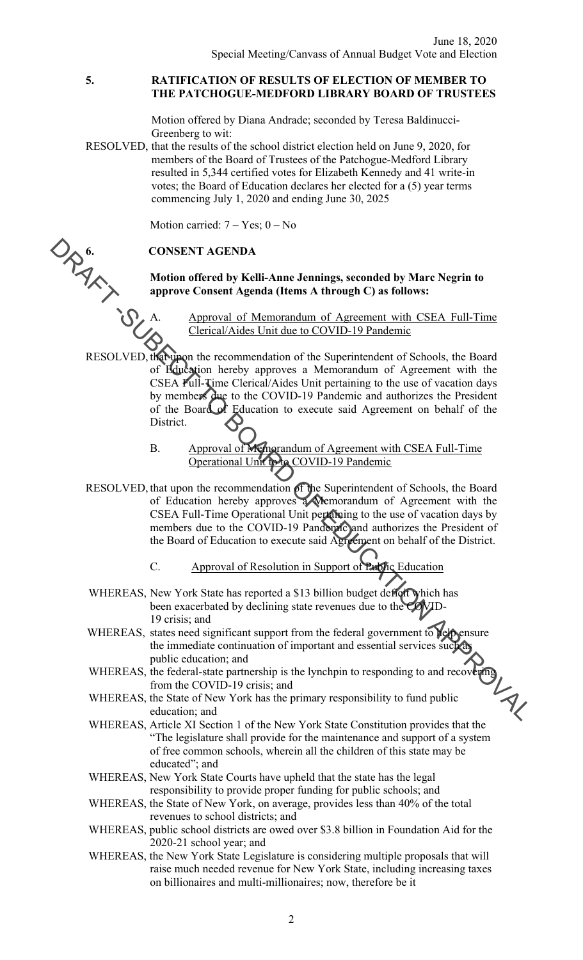#### **5. RATIFICATION OF RESULTS OF ELECTION OF MEMBER TO THE PATCHOGUE-MEDFORD LIBRARY BOARD OF TRUSTEES**

Motion offered by Diana Andrade; seconded by Teresa Baldinucci-Greenberg to wit:

RESOLVED, that the results of the school district election held on June 9, 2020, for members of the Board of Trustees of the Patchogue-Medford Library resulted in 5,344 certified votes for Elizabeth Kennedy and 41 write-in votes; the Board of Education declares her elected for a (5) year terms commencing July 1, 2020 and ending June 30, 2025

#### **6. CONSENT AGENDA**

## Motion carried: 7 – Yes; 0 – No<br> **CONSENT AGENDA**<br>
Motion offered by Kelli-Anne<br>
approve Consent Agenda (Iten<br>
mr<u>oval of Memorano</u><br>
Motion offered by Kelli-Anne<br>
mroval of Memorano<br>
Memorano<br>
Memorano<br>
Memorano<br>
Memorano<br>  **Motion offered by Kelli-Anne Jennings, seconded by Marc Negrin to approve Consent Agenda (Items A through C) as follows:**

Approval of Memorandum of Agreement with CSEA Full-Time Clerical/Aides Unit due to COVID-19 Pandemic

- RESOLVED, that upon the recommendation of the Superintendent of Schools, the Board of Education hereby approves a Memorandum of Agreement with the CSEA Full-Time Clerical/Aides Unit pertaining to the use of vacation days by members due to the COVID-19 Pandemic and authorizes the President of the Board of Education to execute said Agreement on behalf of the District. **EXAMPLE AND AND THE SUBERT AGENDA**<br>
Motion offered by Kelli-Anne Jennings, seconded by Marc Negrin to<br>
approve Consent Agenda (Items A through C) as follows:<br>
TESOLVED, discussed by the duce to COVID-19 Pandemic<br>
RESOLVE
	- B. Approval of Memorandum of Agreement with CSEA Full-Time Operational Unit to to COVID-19 Pandemic
	- RESOLVED, that upon the recommendation of the Superintendent of Schools, the Board of Education hereby approves a Memorandum of Agreement with the CSEA Full-Time Operational Unit pertaining to the use of vacation days by members due to the COVID-19 Pandemic and authorizes the President of the Board of Education to execute said Agreement on behalf of the District.
		- C. Approval of Resolution in Support of Public Education
	- WHEREAS, New York State has reported a \$13 billion budget deficit which has been exacerbated by declining state revenues due to the COVID-19 crisis; and
	- WHEREAS, states need significant support from the federal government to **relational** the immediate continuation of important and essential services such as public education; and
	- WHEREAS, the federal-state partnership is the lynchpin to responding to and recovering from the COVID-19 crisis; and
	- WHEREAS, the State of New York has the primary responsibility to fund public
	- WHEREAS, Article XI Section 1 of the New York State Constitution provides that the "The legislature shall provide for the maintenance and support of a system of free common schools, wherein all the children of this state may be educated"; and
	- WHEREAS, New York State Courts have upheld that the state has the legal responsibility to provide proper funding for public schools; and
	- WHEREAS, the State of New York, on average, provides less than 40% of the total revenues to school districts; and
	- WHEREAS, public school districts are owed over \$3.8 billion in Foundation Aid for the 2020-21 school year; and
	- WHEREAS, the New York State Legislature is considering multiple proposals that will raise much needed revenue for New York State, including increasing taxes on billionaires and multi-millionaires; now, therefore be it